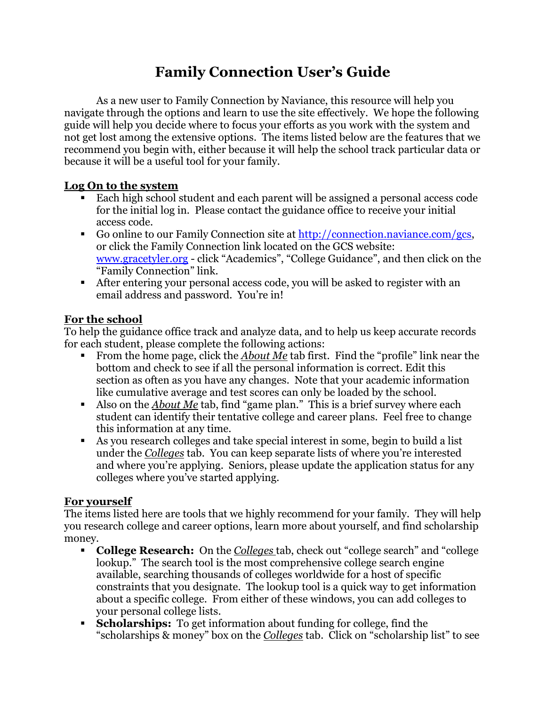## **Family Connection User's Guide**

As a new user to Family Connection by Naviance, this resource will help you navigate through the options and learn to use the site effectively. We hope the following guide will help you decide where to focus your efforts as you work with the system and not get lost among the extensive options. The items listed below are the features that we recommend you begin with, either because it will help the school track particular data or because it will be a useful tool for your family.

## **Log On to the system**

- Each high school student and each parent will be assigned a personal access code for the initial log in. Please contact the guidance office to receive your initial access code.
- Go online to our Family Connection site at [http://connection.naviance.com/gcs,](http://connection.naviance.com/gcs) or click the Family Connection link located on the GCS website: [www.gracetyler.org](http://www.gracetyler.org/) - click "Academics", "College Guidance", and then click on the "Family Connection" link.
- After entering your personal access code, you will be asked to register with an email address and password. You're in!

## **For the school**

To help the guidance office track and analyze data, and to help us keep accurate records for each student, please complete the following actions:

- From the home page, click the *About Me* tab first. Find the "profile" link near the bottom and check to see if all the personal information is correct. Edit this section as often as you have any changes. Note that your academic information like cumulative average and test scores can only be loaded by the school.
- Also on the *About Me* tab, find "game plan." This is a brief survey where each student can identify their tentative college and career plans. Feel free to change this information at any time.
- As you research colleges and take special interest in some, begin to build a list under the *Colleges* tab. You can keep separate lists of where you're interested and where you're applying. Seniors, please update the application status for any colleges where you've started applying.

## **For yourself**

The items listed here are tools that we highly recommend for your family. They will help you research college and career options, learn more about yourself, and find scholarship money.

- **College Research:** On the *Colleges* tab, check out "college search" and "college lookup." The search tool is the most comprehensive college search engine available, searching thousands of colleges worldwide for a host of specific constraints that you designate. The lookup tool is a quick way to get information about a specific college. From either of these windows, you can add colleges to your personal college lists.
- **Scholarships:** To get information about funding for college, find the "scholarships & money" box on the *Colleges* tab. Click on "scholarship list" to see